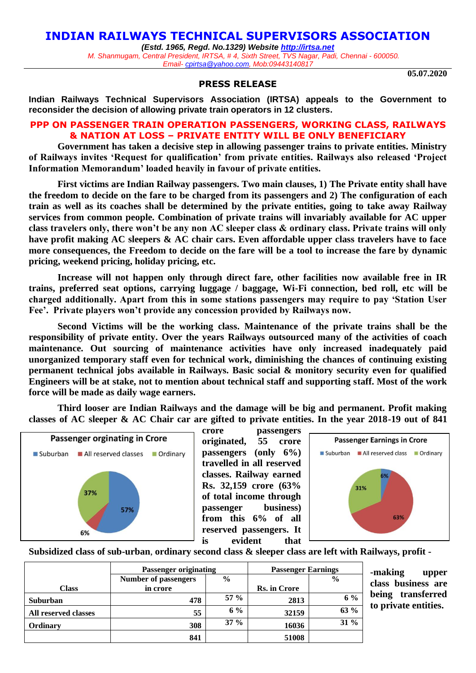# **INDIAN RAILWAYS TECHNICAL SUPERVISORS ASSOCIATION**

*(Estd. 1965, Regd. No.1329) Website [http://irtsa.net](http://irtsa.net/) M. Shanmugam, Central President, IRTSA, # 4, Sixth Street, TVS Nagar, Padi, Chennai - 600050. Email- [cpirtsa@yahoo.com,](mailto:cpirtsa@yahoo.com) Mob:09443140817*

**05.07.2020**

#### **PRESS RELEASE**

**Indian Railways Technical Supervisors Association (IRTSA) appeals to the Government to reconsider the decision of allowing private train operators in 12 clusters.** 

### **PPP ON PASSENGER TRAIN OPERATION PASSENGERS, WORKING CLASS, RAILWAYS & NATION AT LOSS – PRIVATE ENTITY WILL BE ONLY BENEFICIARY**

**Government has taken a decisive step in allowing passenger trains to private entities. Ministry of Railways invites 'Request for qualification' from private entities. Railways also released 'Project Information Memorandum' loaded heavily in favour of private entities.** 

**First victims are Indian Railway passengers. Two main clauses, 1) The Private entity shall have the freedom to decide on the fare to be charged from its passengers and 2) The configuration of each train as well as its coaches shall be determined by the private entities, going to take away Railway services from common people. Combination of private trains will invariably available for AC upper class travelers only, there won't be any non AC sleeper class & ordinary class. Private trains will only have profit making AC sleepers & AC chair cars. Even affordable upper class travelers have to face more consequences, the Freedom to decide on the fare will be a tool to increase the fare by dynamic pricing, weekend pricing, holiday pricing, etc.** 

**Increase will not happen only through direct fare, other facilities now available free in IR trains, preferred seat options, carrying luggage / baggage, Wi-Fi connection, bed roll, etc will be charged additionally. Apart from this in some stations passengers may require to pay 'Station User Fee'. Private players won't provide any concession provided by Railways now.** 

**Second Victims will be the working class. Maintenance of the private trains shall be the responsibility of private entity. Over the years Railways outsourced many of the activities of coach maintenance. Out sourcing of maintenance activities have only increased inadequately paid unorganized temporary staff even for technical work, diminishing the chances of continuing existing permanent technical jobs available in Railways. Basic social & monitory security even for qualified Engineers will be at stake, not to mention about technical staff and supporting staff. Most of the work force will be made as daily wage earners.** 

**Third looser are Indian Railways and the damage will be big and permanent. Profit making classes of AC sleeper & AC Chair car are gifted to private entities. In the year 2018-19 out of 841** 



**crore passengers originated, 55 crore passengers (only 6%) travelled in all reserved classes. Railway earned Rs. 32,159 crore (63% of total income through passenger business) from this 6% of all reserved passengers. It is evident that** 



**Subsidized class of sub-urban**, **ordinary second class & sleeper class are left with Railways, profit -**

|                      | <b>Passenger originating</b> |               | <b>Passenger Earnings</b> |               |
|----------------------|------------------------------|---------------|---------------------------|---------------|
|                      | <b>Number of passengers</b>  | $\frac{6}{9}$ |                           | $\frac{6}{9}$ |
| <b>Class</b>         | in crore                     |               | <b>Rs. in Crore</b>       |               |
| <b>Suburban</b>      | 478                          | $57 \%$       | 2813                      | $6\%$         |
| All reserved classes | 55                           | 6 %           | 32159                     | 63 %          |
| <b>Ordinary</b>      | 308                          | $37 \%$       | 16036                     | $31\%$        |
|                      | 841                          |               | 51008                     |               |

**-making upper class business are being transferred to private entities.**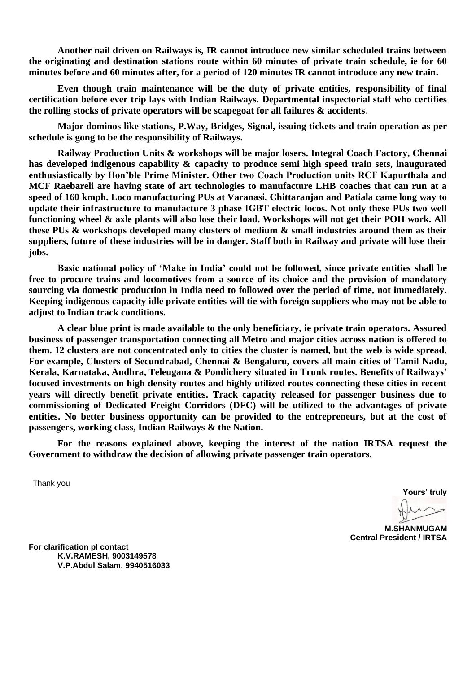**Another nail driven on Railways is, IR cannot introduce new similar scheduled trains between the originating and destination stations route within 60 minutes of private train schedule, ie for 60 minutes before and 60 minutes after, for a period of 120 minutes IR cannot introduce any new train.** 

**Even though train maintenance will be the duty of private entities, responsibility of final certification before ever trip lays with Indian Railways. Departmental inspectorial staff who certifies the rolling stocks of private operators will be scapegoat for all failures & accidents**.

**Major dominos like stations, P.Way, Bridges, Signal, issuing tickets and train operation as per schedule is gong to be the responsibility of Railways.** 

**Railway Production Units & workshops will be major losers. Integral Coach Factory, Chennai has developed indigenous capability & capacity to produce semi high speed train sets, inaugurated enthusiastically by Hon'ble Prime Minister. Other two Coach Production units RCF Kapurthala and MCF Raebareli are having state of art technologies to manufacture LHB coaches that can run at a speed of 160 kmph. Loco manufacturing PUs at Varanasi, Chittaranjan and Patiala came long way to update their infrastructure to manufacture 3 phase IGBT electric locos. Not only these PUs two well functioning wheel & axle plants will also lose their load. Workshops will not get their POH work. All these PUs & workshops developed many clusters of medium & small industries around them as their suppliers, future of these industries will be in danger. Staff both in Railway and private will lose their jobs.** 

**Basic national policy of 'Make in India' could not be followed, since private entities shall be free to procure trains and locomotives from a source of its choice and the provision of mandatory sourcing via domestic production in India need to followed over the period of time, not immediately. Keeping indigenous capacity idle private entities will tie with foreign suppliers who may not be able to adjust to Indian track conditions.**

**A clear blue print is made available to the only beneficiary, ie private train operators. Assured business of passenger transportation connecting all Metro and major cities across nation is offered to them. 12 clusters are not concentrated only to cities the cluster is named, but the web is wide spread. For example, Clusters of Secundrabad, Chennai & Bengaluru, covers all main cities of Tamil Nadu, Kerala, Karnataka, Andhra, Teleugana & Pondichery situated in Trunk routes. Benefits of Railways' focused investments on high density routes and highly utilized routes connecting these cities in recent years will directly benefit private entities. Track capacity released for passenger business due to commissioning of Dedicated Freight Corridors (DFC) will be utilized to the advantages of private entities. No better business opportunity can be provided to the entrepreneurs, but at the cost of passengers, working class, Indian Railways & the Nation.** 

**For the reasons explained above, keeping the interest of the nation IRTSA request the Government to withdraw the decision of allowing private passenger train operators.** 

Thank you

**Yours' truly**

**M.SHANMUGAM Central President / IRTSA**

**For clarification pl contact K.V.RAMESH, 9003149578 V.P.Abdul Salam, 9940516033**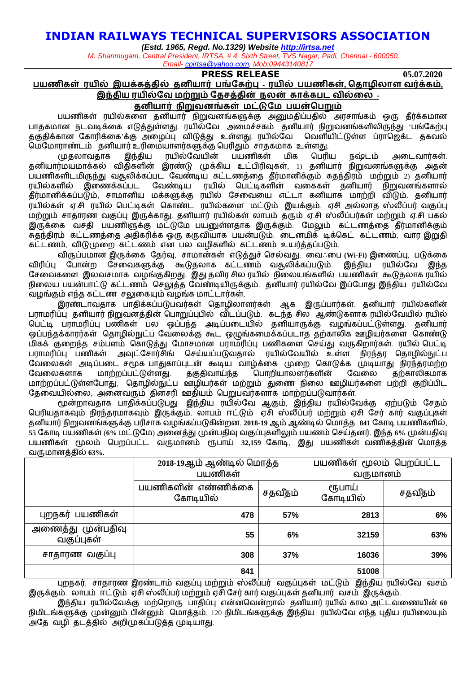# **INDIAN RAILWAYS TECHNICAL SUPERVISORS ASSOCIATION**

*(Estd. 1965, Regd. No.1329) Website [http://irtsa.net](http://irtsa.net/)*

*M. Shanmugam, Central President, IRTSA, # 4, Sixth Street, TVS Nagar, Padi, Chennai - 600050. Email- [cpirtsa@yahoo.com,](mailto:cpirtsa@yahoo.com) Mob:09443140817*

### **PRESS RELEASE 05.07.2020**

**பயணிகள் ரயில் இயக்கத்தில் தனியார் பங்ககற்பு - ரயில் பயணிகள், ததாழிலாள வர்க்கம், இந்திய ரயில்கவ மற்றும் கதசத்தின் நலன் காக்கபட வில்லல –**

### **தனியார் நிறுவனங்கள் மட்டுகம பயன்தபறும்**

பயணிகள் ரயில்களை தனியார் நிறுவனங்களுக்கு அனுமதிப்பதில் அரசாங்கம் ஒரு தீர்க்கமான பாதகமான நடவடிக்கை எடுத்துள்ளது. ரயில்வே அமைச்சகம் தனியார் நிறுவனங்களிலிருந்து 'பங்கேற்பு குகுதிக்கான கோரிக்கை க்கு அமைப்பு விடுக்கு உள்ளது. ரயில்வே வெளியிட்டுள்ள ப்ராஜெக்ட தகவல் .<br>வம்மோராண்டம் தனியார் உரிமையாளர்களுக்கு பெரிதும் சாதகமாக உள்ளது.<br>முதலாவதாக இந்திய ரயில்வேயின் பயணிகள் மிக பெரிய

முதலாவதாக இந்திய ரயில்வவயின் பயணிகள் மிக வபரிய நஷ்டம் அளடவார்கள். தனியார்மயமாக்கல் விதிகைின் இரண்டு முக்கிய உட்பிரிவுகள், 1) தனியார் நிறுவனங்களுக்கு அதன் பயணிகளிடமிருந்து வதூலிக்கப்பட வேண்டிய கட்டணத்தை தீர்மானிக்கும் சுதந்திரம் மற்றும் 2) தனியார்<br>ரயில்களில் இணைக்கப்பட வேண்டிய ரயில் பெட்டிகளின் வகைகள் தனியார் நிறுவனங்களால் வேண்டிய ரயில் பெட்டிகளின் வகைகள் தனியார் நிறுவனங்களால் தீர்மானிக்கப்படும், சாமானிய மக்களுக்கு ரயில் வசளவளய எட்டா கனியாக மாற்றி விடும். தனியார் ரயில்கள் ஏ.சி ரயில் வபட்டிகள் வகாண்ட ரயில்களை மட்டும் இயக்கும். ஏசி அல்லாத ஸ்லீப்பர் வகுப்பு மற்றும் சாதாரண வகுப்பு இருக்காது. தனியார் ரயில்கள் லாபம் தரும் ஏ.சி ஸ்லீப்பர்கள் மற்றும் ஏ.சி பகல் இருக்கை வசதி பயணிளுக்கு மட்டுமே பயனுள்ளதாக இருக்கும். மேலும் கட்டணத்தை தீர்மானிக்கும் சுதந்திரம் கட்டணத்ளத அதிகரிக்க ஒரு கருவியாக பயன்படும். ளடனமிக் டிக்வகட் கட்டணம், வார இறுதி கட்டணம், விடுமுளற கட்டணம் என பல வைிகைில் கட்டணம் உயர்த்தப்படும்.

விருப்பமான இருக்ளக வதர்வு, சாமான்கள் எடுத்துச் வசல்வது, ளவஃளப **(Wi-Fi)** இளணப்பு, படுக்ளக விரிப்பு போன்ற சேவைகளுக்கு கூடுதலாக கட்டணம் வதூலிக்கப்படும். இந்திய ரயில்வே இந்த வசளவகளை இலவசமாக வைங்குகிறது. இது தவிர சில ரயில் நிளலயங்கைில் பயணிகள் கூடுதலாக ரயில் நிலைய பயன்பாட்டு கட்டணம் செலுத்த வேண்டியிருக்கும். தனியார் ரயில்வே இப்போது இந்திய ரயில்வே வைங்கும் எந்த கட்டண சலுளகயும் வைங்க மாட்டார்கள்.

இரண்டாவதாக பாதிக்கப்படுபவர்கள் தொழிலாளர்கள் ஆக இருப்பார்கள். தனியார் ரயில்களின் பராமரிப்பு தனியார் நிறுவனத்தின் வபாறுப்புபில் விடப்படும். கடந்த சில ஆண்டுகைாக ரயில்வவயில் ரயில் வபட்டி பராமரிப்பு பணிகள் பல ஒப்பந்த அடிப்பளடயில் தனியாருக்கு வைங்கப்பட்டுள்ைது. தனியார் ஒப்பந்தக்காரர்கள் தொழில்நுட்ப வேலைக்கு கூட ஒழுங்கமைக்கப்படாத தற்காலிக ஊழியர்களை கொண்டு மிகக் குளறந்த சம்பைம் வகாடுத்து வமாசமான பராமரிப்பு பணிகளை வசய்து வருகிறார்கள். ரயில் வபட்டி பராமரிப்பு பணிகள் அவுட்சோர்சிங் செய்யப்படுவதால் ரயில்வேயில் உள்ள நிரந்தர தொழில்நுட்ப வேலைகள் அடிப்படை சமூக பாதுகாப்புடன் கூடிய வாழ்க்கை முறை கொடுக்க முடியாது நிரந்தரமற்ற<br>வேலைகளாக மாற்றப்பட்டுள்ளது தகுதிவாய்ந்த பொறியாலளர்களின் வேலை தற்காலிகமாக வேலைகளாக மாற்றப்பட்டுள்ளது. தகுதிவாய்ந்த பொறியாலளர்களின் வேலை தற்காலிகமாக மாற்றப்பட்டுள்ளபோது, வதாழில்நுட்ப ஊழியர்கள் மற்றும் துணை நிலை ஊழியர்களை பற்றி குறிப்பிட வதளவயில்ளல, அளனவரும் தினசரி ஊதியம் வபறுபவர்கைாக மாற்றப்படுவார்கள்.

மூன்றாவதாக பாதிக்கப்படுபது இந்திய ரயில்வவ ஆகும், இந்திய ரயில்வவக்கு ஏற்படும் வசதம் வபரியதாகவும் நிரந்தரமாகவும் இருக்கும். லாபம் ஈட்டும் ஏசி ஸ்லீப்பர் மற்றும் ஏசி வசர் கார் வகுப்புகள் தனியார் நிறுவனங்களுக்கு பரிசாக வைங்கப்படுகின்றன. **2018-19** ஆம் ஆண்டில் வமாத்த **841** வகாடி பயணிகைில், **55** வகாடி பயணிகள் (**6%** மட்டுவம) அளனத்து முன்பதிவு வகுப்புகைிலும் பயணம் வசய்தனர். இந்த **6%** முன்பதிவு பயணிகள் மூலம் வபறப்பட்ட வருமானம் ரூபாய் **32,159** வகாடி, இது பயணிகள் வணிகத்தின் வமாத்த வருமானத்தில் **63%.**

|                                 | 2018-19ஆம் ஆண்டில் மொத்த<br>பயணிகள் |         | பயணிகள் மூலம் பெறப்பட்ட<br>வருமானம் |         |
|---------------------------------|-------------------------------------|---------|-------------------------------------|---------|
|                                 | பயணிகளின் எண்ணிக்கை<br>கோடியில்     | சதவீதம் | ரூபாய்<br>கோடியில்                  | சதவீதம் |
| புறநகர் பயணிகள்                 | 478                                 | 57%     | 2813                                | 6%      |
| அணைத்து முன்பதிவு<br>வகுப்புகள் | 55                                  | 6%      | 32159                               | 63%     |
| சாதாரண வகுப்பு                  | 308                                 | 37%     | 16036                               | 39%     |
|                                 | 841                                 |         | 51008                               |         |

புறநகர், சாதாரண இரண்டாம் வகுப்பு மற்றும் ஸ்லீப்பர் வகுப்புகள் மட்டும் இந்திய ரயில்வே வசம் இருக்கும். லாபம் ஈட்டும் ஏசி ஸ்லீப்பர் மற்றும் ஏசி வசர் கார் வகுப்புகள் தனியார் வசம் இருக்கும்.

இந்திய ரயில்வவக்கு மற்வறாரு பாதிப்பு என்னவவன்றால் தனியார் ரயில் கால அட்டவளணயின் **60** நிமிடங்களுக்கு முன்னும் பின்னும் வமாத்தம், 120 நிமிடங்களுக்கு இந்திய ரயில்வவ எந்த புதிய ரயிளலயும் அவத வைி தடத்தில் அறிமுகப்படுத்த முடியாது.